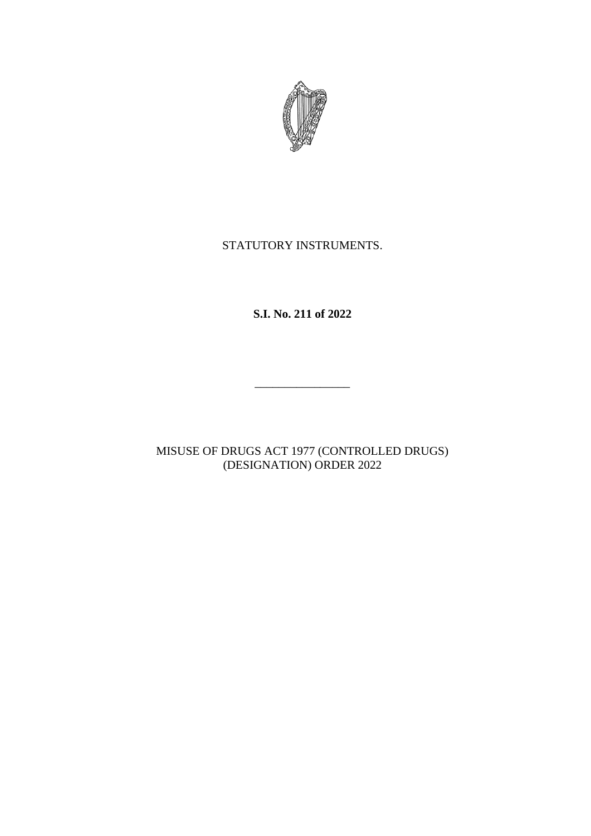

# STATUTORY INSTRUMENTS.

**S.I. No. 211 of 2022**

\_\_\_\_\_\_\_\_\_\_\_\_\_\_\_\_

MISUSE OF DRUGS ACT 1977 (CONTROLLED DRUGS) (DESIGNATION) ORDER 2022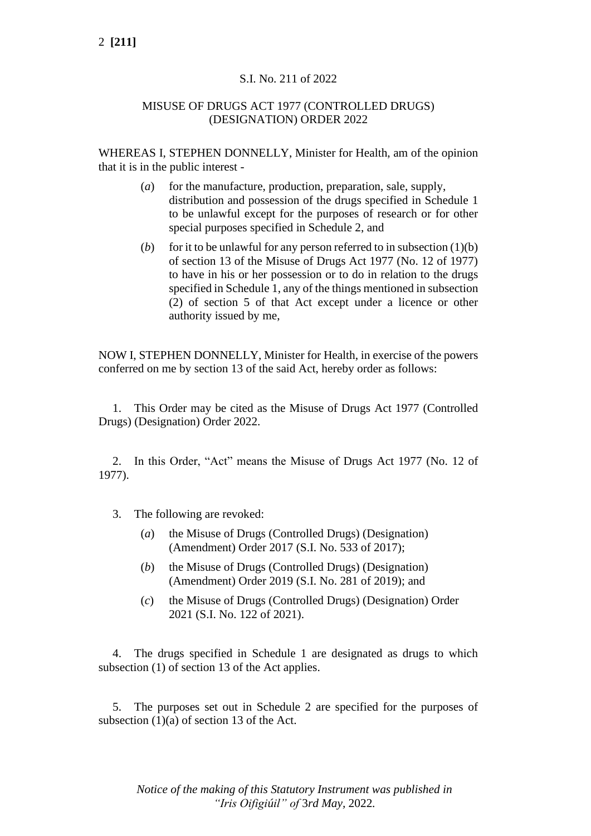# S.I. No. 211 of 2022

### MISUSE OF DRUGS ACT 1977 (CONTROLLED DRUGS) (DESIGNATION) ORDER 2022

WHEREAS I, STEPHEN DONNELLY, Minister for Health, am of the opinion that it is in the public interest -

- (*a*) for the manufacture, production, preparation, sale, supply, distribution and possession of the drugs specified in Schedule 1 to be unlawful except for the purposes of research or for other special purposes specified in Schedule 2, and
- (*b*) for it to be unlawful for any person referred to in subsection  $(1)(b)$ of section 13 of the Misuse of Drugs Act 1977 (No. 12 of 1977) to have in his or her possession or to do in relation to the drugs specified in Schedule 1, any of the things mentioned in subsection (2) of section 5 of that Act except under a licence or other authority issued by me,

NOW I, STEPHEN DONNELLY, Minister for Health, in exercise of the powers conferred on me by section 13 of the said Act, hereby order as follows:

1. This Order may be cited as the Misuse of Drugs Act 1977 (Controlled Drugs) (Designation) Order 2022.

2. In this Order, "Act" means the Misuse of Drugs Act 1977 (No. 12 of 1977).

- 3. The following are revoked:
	- (*a*) the Misuse of Drugs (Controlled Drugs) (Designation) (Amendment) Order 2017 (S.I. No. 533 of 2017);
	- (*b*) the Misuse of Drugs (Controlled Drugs) (Designation) (Amendment) Order 2019 (S.I. No. 281 of 2019); and
	- (*c*) the Misuse of Drugs (Controlled Drugs) (Designation) Order 2021 (S.I. No. 122 of 2021).

4. The drugs specified in Schedule 1 are designated as drugs to which subsection (1) of section 13 of the Act applies.

5. The purposes set out in Schedule 2 are specified for the purposes of subsection  $(1)(a)$  of section 13 of the Act.

*Notice of the making of this Statutory Instrument was published in "Iris Oifigiúil" of* 3*rd May,* 2022*.*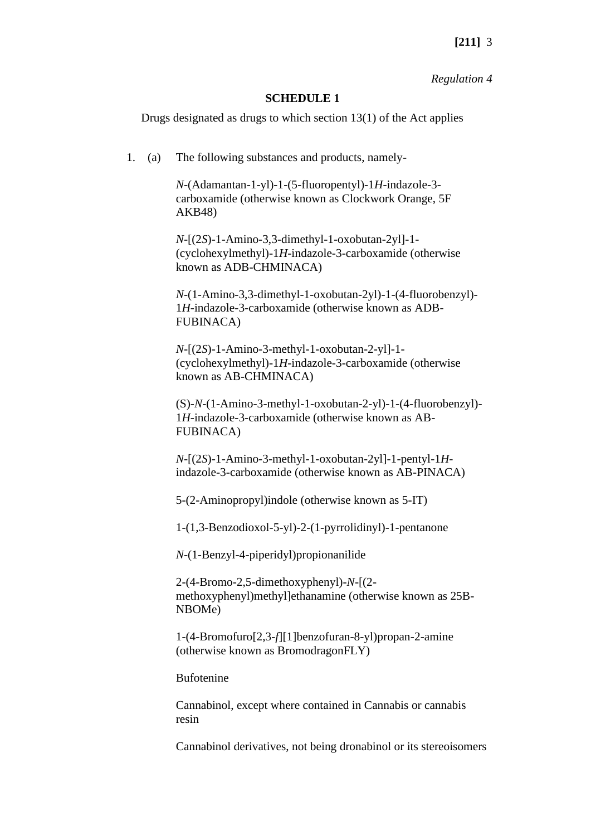#### *Regulation 4*

#### **SCHEDULE 1**

Drugs designated as drugs to which section 13(1) of the Act applies

1. (a) The following substances and products, namely-

*N*-(Adamantan-1-yl)-1-(5-fluoropentyl)-1*H*-indazole-3 carboxamide (otherwise known as Clockwork Orange, 5F AKB48)

*N*-[(2*S*)-1-Amino-3,3-dimethyl-1-oxobutan-2yl]-1- (cyclohexylmethyl)-1*H*-indazole-3-carboxamide (otherwise known as ADB-CHMINACA)

*N*-(1-Amino-3,3-dimethyl-1-oxobutan-2yl)-1-(4-fluorobenzyl)- 1*H-*indazole-3-carboxamide (otherwise known as ADB-FUBINACA)

*N*-[(2*S*)-1-Amino-3-methyl-1-oxobutan-2-yl]-1- (cyclohexylmethyl)-1*H*-indazole-3-carboxamide (otherwise known as AB-CHMINACA)

(S)-*N*-(1-Amino-3-methyl-1-oxobutan-2-yl)-1-(4-fluorobenzyl)- 1*H*-indazole-3-carboxamide (otherwise known as AB-FUBINACA)

*N*-[(2*S*)-1-Amino-3-methyl-1-oxobutan-2yl]-1-pentyl-1*H*indazole-3-carboxamide (otherwise known as AB-PINACA)

5-(2-Aminopropyl)indole (otherwise known as 5-IT)

1-(1,3-Benzodioxol-5-yl)-2-(1-pyrrolidinyl)-1-pentanone

*N*-(1-Benzyl-4-piperidyl)propionanilide

2-(4-Bromo-2,5-dimethoxyphenyl)-*N*-[(2 methoxyphenyl)methyl]ethanamine (otherwise known as 25B-NBOMe)

1-(4-Bromofuro[2,3-*f*][1]benzofuran-8-yl)propan-2-amine (otherwise known as BromodragonFLY)

Bufotenine

Cannabinol, except where contained in Cannabis or cannabis resin

Cannabinol derivatives, not being dronabinol or its stereoisomers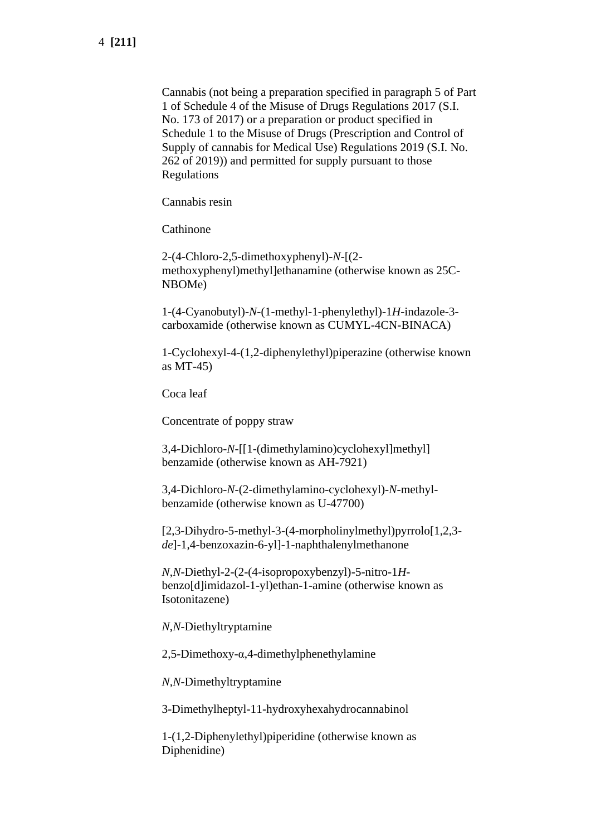Cannabis (not being a preparation specified in paragraph 5 of Part 1 of Schedule 4 of the Misuse of Drugs Regulations 2017 (S.I. No. 173 of 2017) or a preparation or product specified in Schedule 1 to the Misuse of Drugs (Prescription and Control of Supply of cannabis for Medical Use) Regulations 2019 (S.I. No. 262 of 2019)) and permitted for supply pursuant to those Regulations

Cannabis resin

**Cathinone** 

2-(4-Chloro-2,5-dimethoxyphenyl)-*N*-[(2 methoxyphenyl)methyl]ethanamine (otherwise known as 25C-NBOMe)

1-(4-Cyanobutyl)-*N*-(1-methyl-1-phenylethyl)-1*H*-indazole-3 carboxamide (otherwise known as CUMYL-4CN-BINACA)

1-Cyclohexyl-4-(1,2-diphenylethyl)piperazine (otherwise known as MT-45)

Coca leaf

Concentrate of poppy straw

3,4-Dichloro-*N*-[[1-(dimethylamino)cyclohexyl]methyl] benzamide (otherwise known as AH-7921)

3,4-Dichloro-*N*-(2-dimethylamino-cyclohexyl)-*N*-methylbenzamide (otherwise known as U-47700)

[2,3-Dihydro-5-methyl-3-(4-morpholinylmethyl)pyrrolo[1,2,3 *de*]-1,4-benzoxazin-6-yl]-1-naphthalenylmethanone

*N*,*N*-Diethyl-2-(2-(4-isopropoxybenzyl)-5-nitro-1*H*benzo[d]imidazol-1-yl)ethan-1-amine (otherwise known as Isotonitazene)

*N*,*N*-Diethyltryptamine

2,5-Dimethoxy-α,4-dimethylphenethylamine

*N,N*-Dimethyltryptamine

3-Dimethylheptyl-11-hydroxyhexahydrocannabinol

1-(1,2-Diphenylethyl)piperidine (otherwise known as Diphenidine)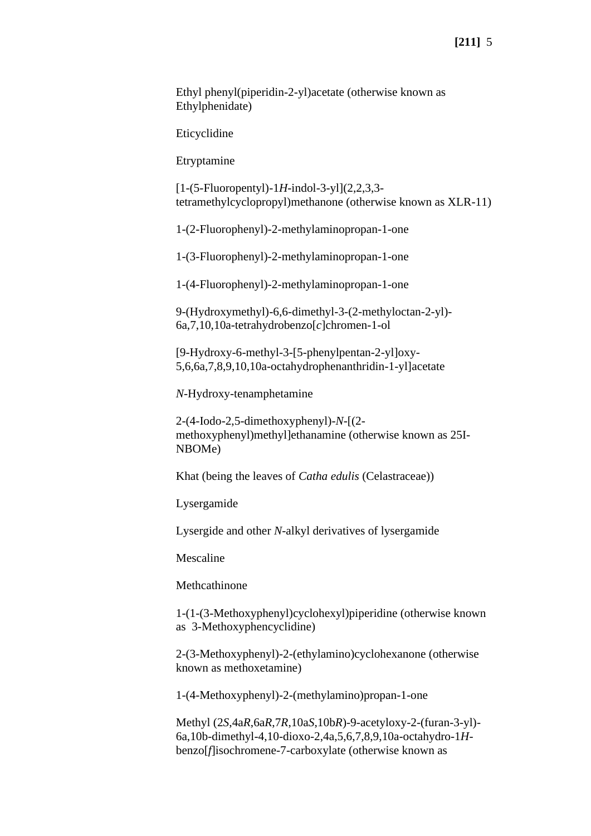Ethyl phenyl(piperidin-2-yl)acetate (otherwise known as Ethylphenidate)

Eticyclidine

Etryptamine

[1-(5-Fluoropentyl)-1*H*-indol-3-yl](2,2,3,3 tetramethylcyclopropyl)methanone (otherwise known as XLR-11)

1-(2-Fluorophenyl)-2-methylaminopropan-1-one

1-(3-Fluorophenyl)-2-methylaminopropan-1-one

1-(4-Fluorophenyl)-2-methylaminopropan-1-one

9-(Hydroxymethyl)-6,6-dimethyl-3-(2-methyloctan-2-yl)- 6a,7,10,10a-tetrahydrobenzo[*c*]chromen-1-ol

[9-Hydroxy-6-methyl-3-[5-phenylpentan-2-yl]oxy-5,6,6a,7,8,9,10,10a-octahydrophenanthridin-1-yl]acetate

*N*-Hydroxy-tenamphetamine

2-(4-Iodo-2,5-dimethoxyphenyl)-*N*-[(2 methoxyphenyl)methyl]ethanamine (otherwise known as 25I-NBOMe)

Khat (being the leaves of *Catha edulis* (Celastraceae))

Lysergamide

Lysergide and other *N*-alkyl derivatives of lysergamide

Mescaline

Methcathinone

1-(1-(3-Methoxyphenyl)cyclohexyl)piperidine (otherwise known as 3-Methoxyphencyclidine)

2-(3-Methoxyphenyl)-2-(ethylamino)cyclohexanone (otherwise known as methoxetamine)

1-(4-Methoxyphenyl)-2-(methylamino)propan-1-one

Methyl (2*S*,4a*R*,6a*R*,7*R*,10a*S*,10b*R*)-9-acetyloxy-2-(furan-3-yl)- 6a,10b-dimethyl-4,10-dioxo-2,4a,5,6,7,8,9,10a-octahydro-1*H*benzo[*f*]isochromene-7-carboxylate (otherwise known as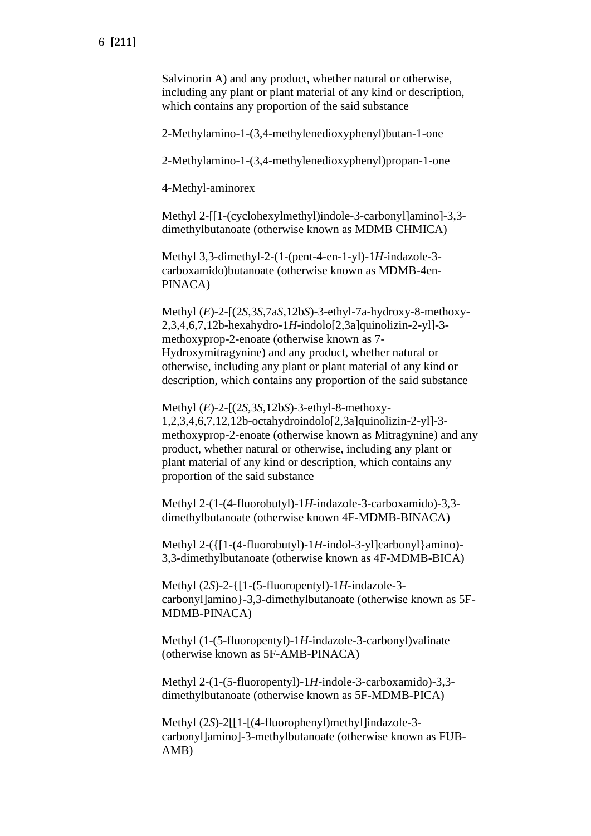Salvinorin A) and any product, whether natural or otherwise, including any plant or plant material of any kind or description, which contains any proportion of the said substance

2-Methylamino-1-(3,4-methylenedioxyphenyl)butan-1-one

2-Methylamino-1-(3,4-methylenedioxyphenyl)propan-1-one

4-Methyl-aminorex

Methyl 2-[[1-(cyclohexylmethyl)indole-3-carbonyl]amino]-3,3 dimethylbutanoate (otherwise known as MDMB CHMICA)

Methyl 3,3-dimethyl-2-(1-(pent-4-en-1-yl)-1*H*-indazole-3 carboxamido)butanoate (otherwise known as MDMB-4en-PINACA)

Methyl (*E*)-2-[(2*S*,3*S*,7a*S*,12b*S*)-3-ethyl-7a-hydroxy-8-methoxy-2,3,4,6,7,12b-hexahydro-1*H*-indolo[2,3a]quinolizin-2-yl]-3 methoxyprop-2-enoate (otherwise known as 7- Hydroxymitragynine) and any product, whether natural or otherwise, including any plant or plant material of any kind or description, which contains any proportion of the said substance

Methyl (*E*)-2-[(2*S*,3*S*,12b*S*)-3-ethyl-8-methoxy-1,2,3,4,6,7,12,12b-octahydroindolo[2,3a]quinolizin-2-yl]-3 methoxyprop-2-enoate (otherwise known as Mitragynine) and any product, whether natural or otherwise, including any plant or plant material of any kind or description, which contains any proportion of the said substance

Methyl 2-(1-(4-fluorobutyl)-1*H*-indazole-3-carboxamido)-3,3 dimethylbutanoate (otherwise known 4F-MDMB-BINACA)

Methyl 2-({[1-(4-fluorobutyl)-1*H*-indol-3-yl]carbonyl}amino)- 3,3-dimethylbutanoate (otherwise known as 4F-MDMB-BICA)

Methyl (2*S*)-2-{[1-(5-fluoropentyl)-1*H-*indazole-3 carbonyl]amino}-3,3-dimethylbutanoate (otherwise known as 5F-MDMB-PINACA)

Methyl (1-(5-fluoropentyl)-1*H*-indazole-3-carbonyl)valinate (otherwise known as 5F-AMB-PINACA)

Methyl 2-(1-(5-fluoropentyl)-1*H*-indole-3-carboxamido)-3,3 dimethylbutanoate (otherwise known as 5F-MDMB-PICA)

Methyl (2*S*)-2[[1-[(4-fluorophenyl)methyl]indazole-3 carbonyl]amino]-3-methylbutanoate (otherwise known as FUB-AMB)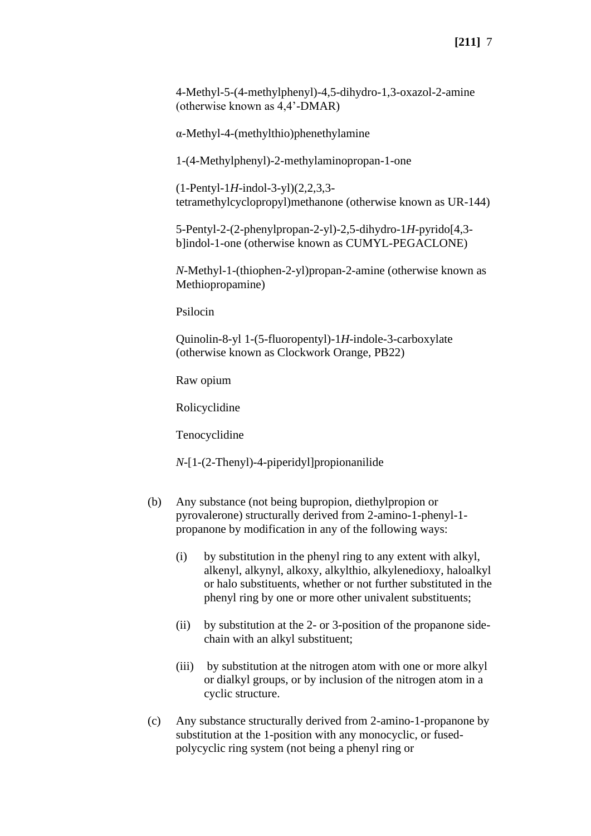4-Methyl-5-(4-methylphenyl)-4,5-dihydro-1,3-oxazol-2-amine (otherwise known as 4,4'-DMAR)

α-Methyl-4-(methylthio)phenethylamine

1-(4-Methylphenyl)-2-methylaminopropan-1-one

(1-Pentyl-1*H*-indol-3-yl)(2,2,3,3 tetramethylcyclopropyl)methanone (otherwise known as UR-144)

5-Pentyl-2-(2-phenylpropan-2-yl)-2,5-dihydro-1*H*-pyrido[4,3 b]indol-1-one (otherwise known as CUMYL-PEGACLONE)

*N*-Methyl-1-(thiophen-2-yl)propan-2-amine (otherwise known as Methiopropamine)

Psilocin

Quinolin-8-yl 1-(5-fluoropentyl)-1*H*-indole-3-carboxylate (otherwise known as Clockwork Orange, PB22)

Raw opium

Rolicyclidine

Tenocyclidine

*N*-[1-(2-Thenyl)-4-piperidyl]propionanilide

- (b) Any substance (not being bupropion, diethylpropion or pyrovalerone) structurally derived from 2-amino-1-phenyl-1 propanone by modification in any of the following ways:
	- (i) by substitution in the phenyl ring to any extent with alkyl, alkenyl, alkynyl, alkoxy, alkylthio, alkylenedioxy, haloalkyl or halo substituents, whether or not further substituted in the phenyl ring by one or more other univalent substituents;
	- (ii) by substitution at the 2- or 3-position of the propanone sidechain with an alkyl substituent;
	- (iii) by substitution at the nitrogen atom with one or more alkyl or dialkyl groups, or by inclusion of the nitrogen atom in a cyclic structure.
- (c) Any substance structurally derived from 2-amino-1-propanone by substitution at the 1-position with any monocyclic, or fusedpolycyclic ring system (not being a phenyl ring or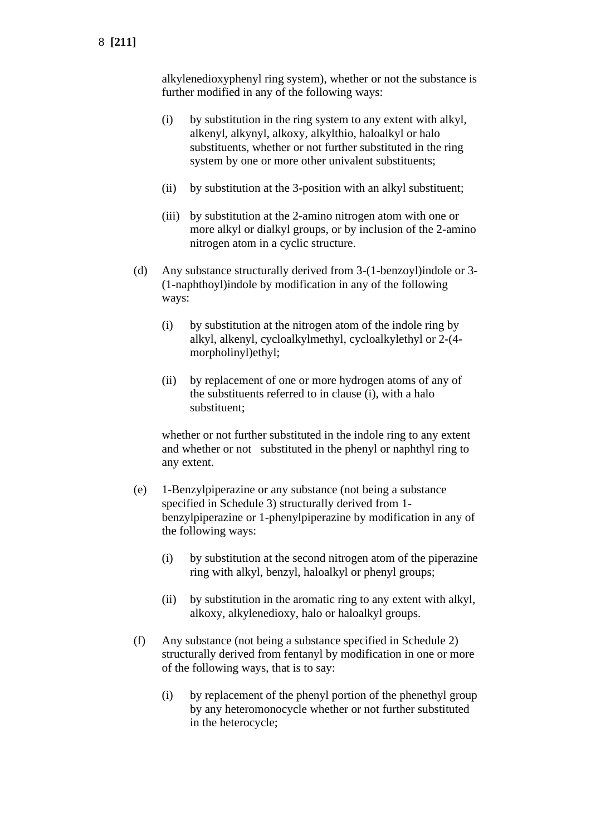alkylenedioxyphenyl ring system), whether or not the substance is further modified in any of the following ways:

- (i) by substitution in the ring system to any extent with alkyl, alkenyl, alkynyl, alkoxy, alkylthio, haloalkyl or halo substituents, whether or not further substituted in the ring system by one or more other univalent substituents;
- (ii) by substitution at the 3-position with an alkyl substituent;
- (iii) by substitution at the 2-amino nitrogen atom with one or more alkyl or dialkyl groups, or by inclusion of the 2-amino nitrogen atom in a cyclic structure.
- (d) Any substance structurally derived from 3-(1-benzoyl)indole or 3- (1-naphthoyl)indole by modification in any of the following ways:
	- (i) by substitution at the nitrogen atom of the indole ring by alkyl, alkenyl, cycloalkylmethyl, cycloalkylethyl or 2-(4 morpholinyl)ethyl;
	- (ii) by replacement of one or more hydrogen atoms of any of the substituents referred to in clause (i), with a halo substituent;

whether or not further substituted in the indole ring to any extent and whether or not substituted in the phenyl or naphthyl ring to any extent.

- (e) 1-Benzylpiperazine or any substance (not being a substance specified in Schedule 3) structurally derived from 1 benzylpiperazine or 1-phenylpiperazine by modification in any of the following ways:
	- (i) by substitution at the second nitrogen atom of the piperazine ring with alkyl, benzyl, haloalkyl or phenyl groups;
	- (ii) by substitution in the aromatic ring to any extent with alkyl, alkoxy, alkylenedioxy, halo or haloalkyl groups.
- (f) Any substance (not being a substance specified in Schedule 2) structurally derived from fentanyl by modification in one or more of the following ways, that is to say:
	- (i) by replacement of the phenyl portion of the phenethyl group by any heteromonocycle whether or not further substituted in the heterocycle;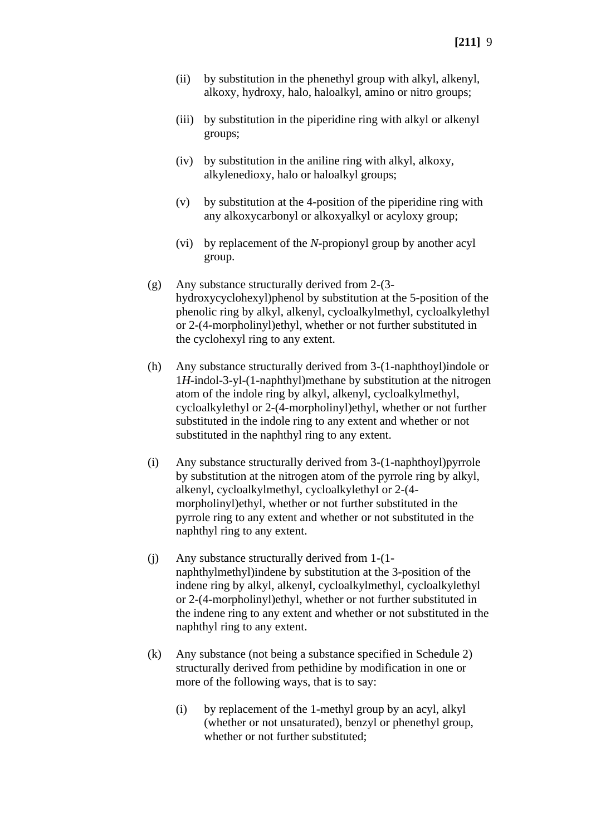- (ii) by substitution in the phenethyl group with alkyl, alkenyl, alkoxy, hydroxy, halo, haloalkyl, amino or nitro groups;
- (iii) by substitution in the piperidine ring with alkyl or alkenyl groups;
- (iv) by substitution in the aniline ring with alkyl, alkoxy, alkylenedioxy, halo or haloalkyl groups;
- (v) by substitution at the 4-position of the piperidine ring with any alkoxycarbonyl or alkoxyalkyl or acyloxy group;
- (vi) by replacement of the *N*-propionyl group by another acyl group.
- (g) Any substance structurally derived from 2-(3 hydroxycyclohexyl)phenol by substitution at the 5-position of the phenolic ring by alkyl, alkenyl, cycloalkylmethyl, cycloalkylethyl or 2-(4-morpholinyl)ethyl, whether or not further substituted in the cyclohexyl ring to any extent.
- (h) Any substance structurally derived from 3-(1-naphthoyl)indole or 1*H*-indol-3-yl-(1-naphthyl)methane by substitution at the nitrogen atom of the indole ring by alkyl, alkenyl, cycloalkylmethyl, cycloalkylethyl or 2-(4-morpholinyl)ethyl, whether or not further substituted in the indole ring to any extent and whether or not substituted in the naphthyl ring to any extent.
- (i) Any substance structurally derived from 3-(1-naphthoyl)pyrrole by substitution at the nitrogen atom of the pyrrole ring by alkyl, alkenyl, cycloalkylmethyl, cycloalkylethyl or 2-(4 morpholinyl)ethyl, whether or not further substituted in the pyrrole ring to any extent and whether or not substituted in the naphthyl ring to any extent.
- (j) Any substance structurally derived from 1-(1 naphthylmethyl)indene by substitution at the 3-position of the indene ring by alkyl, alkenyl, cycloalkylmethyl, cycloalkylethyl or 2-(4-morpholinyl)ethyl, whether or not further substituted in the indene ring to any extent and whether or not substituted in the naphthyl ring to any extent.
- (k) Any substance (not being a substance specified in Schedule 2) structurally derived from pethidine by modification in one or more of the following ways, that is to say:
	- (i) by replacement of the 1-methyl group by an acyl, alkyl (whether or not unsaturated), benzyl or phenethyl group, whether or not further substituted;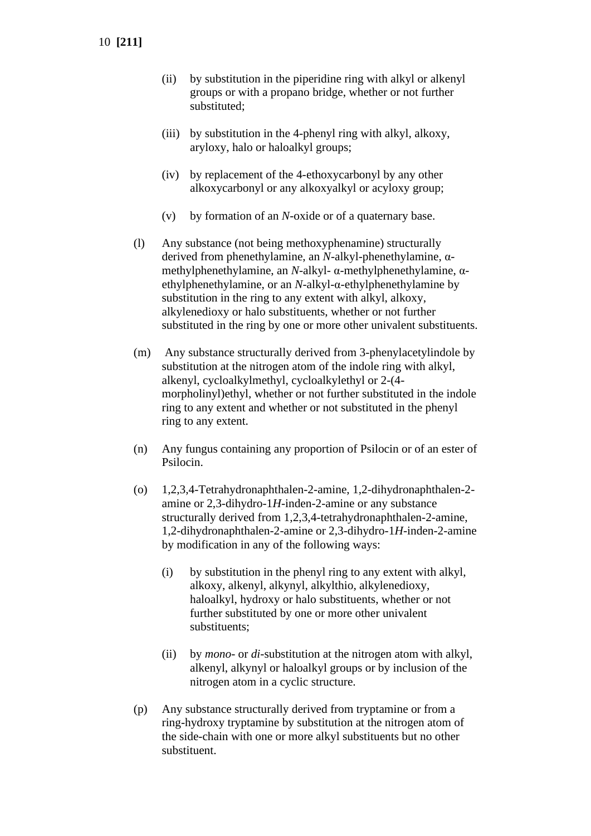- (ii) by substitution in the piperidine ring with alkyl or alkenyl groups or with a propano bridge, whether or not further substituted;
- (iii) by substitution in the 4-phenyl ring with alkyl, alkoxy, aryloxy, halo or haloalkyl groups;
- (iv) by replacement of the 4-ethoxycarbonyl by any other alkoxycarbonyl or any alkoxyalkyl or acyloxy group;
- (v) by formation of an *N*-oxide or of a quaternary base.
- (l) Any substance (not being methoxyphenamine) structurally derived from phenethylamine, an *N*-alkyl-phenethylamine, αmethylphenethylamine, an *N*-alkyl- α-methylphenethylamine, αethylphenethylamine, or an *N*-alkyl-α-ethylphenethylamine by substitution in the ring to any extent with alkyl, alkoxy, alkylenedioxy or halo substituents, whether or not further substituted in the ring by one or more other univalent substituents.
- (m) Any substance structurally derived from 3-phenylacetylindole by substitution at the nitrogen atom of the indole ring with alkyl, alkenyl, cycloalkylmethyl, cycloalkylethyl or 2-(4 morpholinyl)ethyl, whether or not further substituted in the indole ring to any extent and whether or not substituted in the phenyl ring to any extent.
- (n) Any fungus containing any proportion of Psilocin or of an ester of Psilocin.
- (o) 1,2,3,4-Tetrahydronaphthalen-2-amine, 1,2-dihydronaphthalen-2 amine or 2,3-dihydro-1*H*-inden-2-amine or any substance structurally derived from 1,2,3,4-tetrahydronaphthalen-2-amine, 1,2-dihydronaphthalen-2-amine or 2,3-dihydro-1*H*-inden-2-amine by modification in any of the following ways:
	- (i) by substitution in the phenyl ring to any extent with alkyl, alkoxy, alkenyl, alkynyl, alkylthio, alkylenedioxy, haloalkyl, hydroxy or halo substituents, whether or not further substituted by one or more other univalent substituents;
	- (ii) by *mono* or *di*-substitution at the nitrogen atom with alkyl, alkenyl, alkynyl or haloalkyl groups or by inclusion of the nitrogen atom in a cyclic structure.
- (p) Any substance structurally derived from tryptamine or from a ring-hydroxy tryptamine by substitution at the nitrogen atom of the side-chain with one or more alkyl substituents but no other substituent.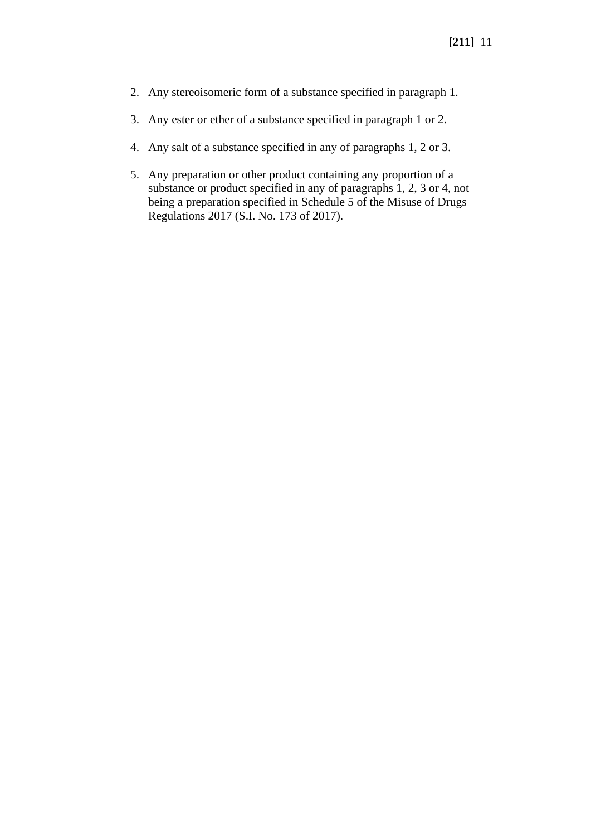- 2. Any stereoisomeric form of a substance specified in paragraph 1.
- 3. Any ester or ether of a substance specified in paragraph 1 or 2.
- 4. Any salt of a substance specified in any of paragraphs 1, 2 or 3.
- 5. Any preparation or other product containing any proportion of a substance or product specified in any of paragraphs 1, 2, 3 or 4, not being a preparation specified in Schedule 5 of the Misuse of Drugs Regulations 2017 (S.I. No. 173 of 2017).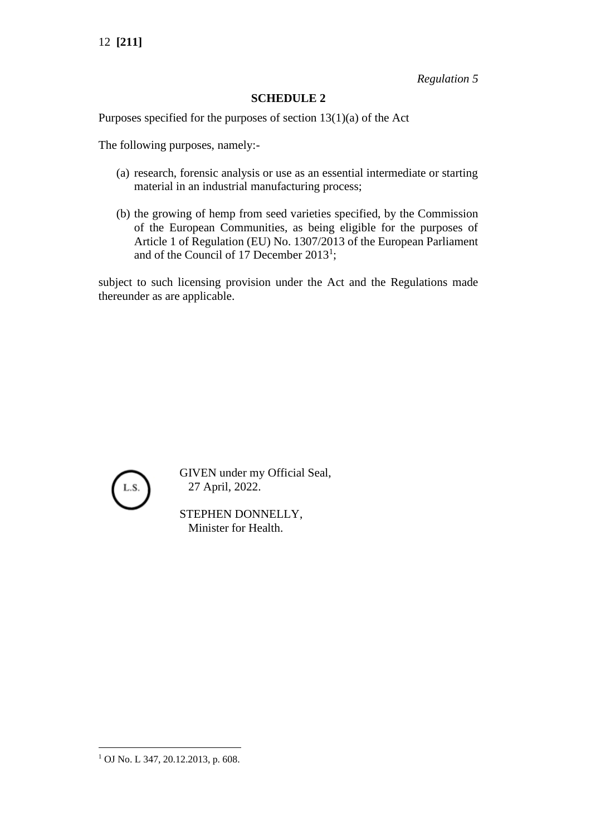*Regulation 5*

# **SCHEDULE 2**

Purposes specified for the purposes of section 13(1)(a) of the Act

The following purposes, namely:-

- (a) research, forensic analysis or use as an essential intermediate or starting material in an industrial manufacturing process;
- (b) the growing of hemp from seed varieties specified, by the Commission of the European Communities, as being eligible for the purposes of Article 1 of Regulation (EU) No. 1307/2013 of the European Parliament and of the Council of 17 December  $2013<sup>1</sup>$ ;

subject to such licensing provision under the Act and the Regulations made thereunder as are applicable.



GIVEN under my Official Seal, 27 April, 2022.

STEPHEN DONNELLY, Minister for Health.

<sup>1</sup> OJ No. L 347, 20.12.2013, p. 608.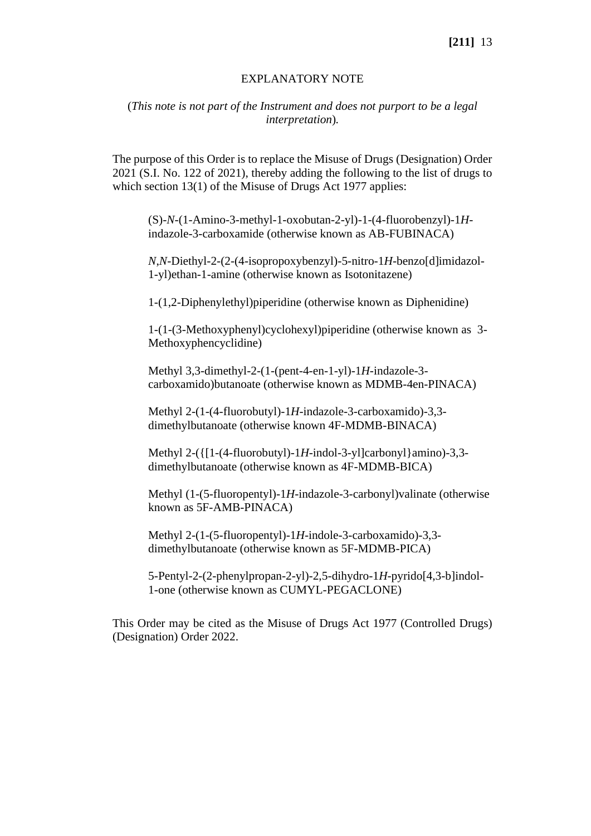#### EXPLANATORY NOTE

## (*This note is not part of the Instrument and does not purport to be a legal interpretation*)*.*

The purpose of this Order is to replace the Misuse of Drugs (Designation) Order 2021 (S.I. No. 122 of 2021), thereby adding the following to the list of drugs to which section 13(1) of the Misuse of Drugs Act 1977 applies:

(S)-*N*-(1-Amino-3-methyl-1-oxobutan-2-yl)-1-(4-fluorobenzyl)-1*H*indazole-3-carboxamide (otherwise known as AB-FUBINACA)

*N*,*N*-Diethyl-2-(2-(4-isopropoxybenzyl)-5-nitro-1*H*-benzo[d]imidazol-1-yl)ethan-1-amine (otherwise known as Isotonitazene)

1-(1,2-Diphenylethyl)piperidine (otherwise known as Diphenidine)

1-(1-(3-Methoxyphenyl)cyclohexyl)piperidine (otherwise known as 3- Methoxyphencyclidine)

Methyl 3,3-dimethyl-2-(1-(pent-4-en-1-yl)-1*H*-indazole-3 carboxamido)butanoate (otherwise known as MDMB-4en-PINACA)

Methyl 2-(1-(4-fluorobutyl)-1*H*-indazole-3-carboxamido)-3,3 dimethylbutanoate (otherwise known 4F-MDMB-BINACA)

Methyl 2-({[1-(4-fluorobutyl)-1*H*-indol-3-yl]carbonyl}amino)-3,3 dimethylbutanoate (otherwise known as 4F-MDMB-BICA)

Methyl (1-(5-fluoropentyl)-1*H*-indazole-3-carbonyl)valinate (otherwise known as 5F-AMB-PINACA)

Methyl 2-(1-(5-fluoropentyl)-1*H*-indole-3-carboxamido)-3,3 dimethylbutanoate (otherwise known as 5F-MDMB-PICA)

5-Pentyl-2-(2-phenylpropan-2-yl)-2,5-dihydro-1*H*-pyrido[4,3-b]indol-1-one (otherwise known as CUMYL-PEGACLONE)

This Order may be cited as the Misuse of Drugs Act 1977 (Controlled Drugs) (Designation) Order 2022.